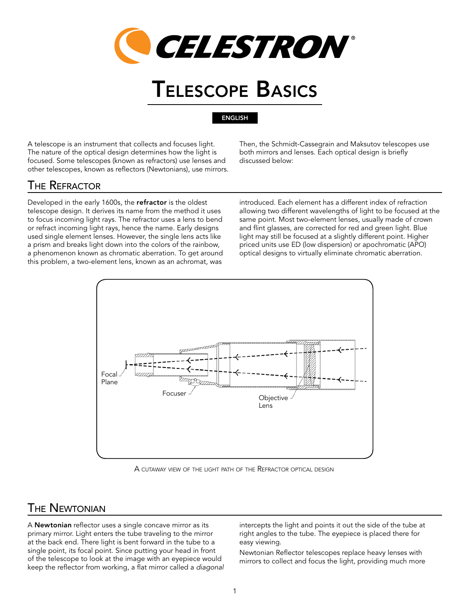

# Telescope Basics

**ENGLISH** 

A telescope is an instrument that collects and focuses light. The nature of the optical design determines how the light is focused. Some telescopes (known as refractors) use lenses and other telescopes, known as reflectors (Newtonians), use mirrors. Then, the Schmidt-Cassegrain and Maksutov telescopes use both mirrors and lenses. Each optical design is briefly discussed below:

# The Refractor

Developed in the early 1600s, the refractor is the oldest telescope design. It derives its name from the method it uses to focus incoming light rays. The refractor uses a lens to bend or refract incoming light rays, hence the name. Early designs used single element lenses. However, the single lens acts like a prism and breaks light down into the colors of the rainbow, a phenomenon known as chromatic aberration. To get around this problem, a two-element lens, known as an achromat, was

introduced. Each element has a different index of refraction allowing two different wavelengths of light to be focused at the same point. Most two-element lenses, usually made of crown and flint glasses, are corrected for red and green light. Blue light may still be focused at a slightly different point. Higher priced units use ED (low dispersion) or apochromatic (APO) optical designs to virtually eliminate chromatic aberration.



A cutaway view of the light path of the Refractor optical design

### The Newtonian

A Newtonian reflector uses a single concave mirror as its primary mirror. Light enters the tube traveling to the mirror at the back end. There light is bent forward in the tube to a single point, its focal point. Since putting your head in front of the telescope to look at the image with an eyepiece would keep the reflector from working, a flat mirror called a *diagonal* intercepts the light and points it out the side of the tube at right angles to the tube. The eyepiece is placed there for easy viewing.

Newtonian Reflector telescopes replace heavy lenses with mirrors to collect and focus the light, providing much more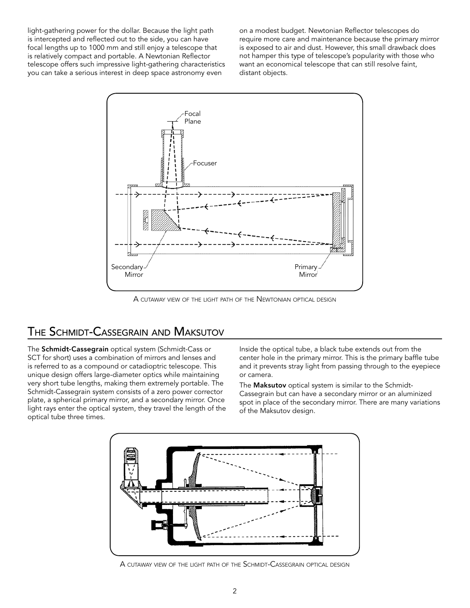light-gathering power for the dollar. Because the light path is intercepted and reflected out to the side, you can have focal lengths up to 1000 mm and still enjoy a telescope that is relatively compact and portable. A Newtonian Reflector telescope offers such impressive light-gathering characteristics you can take a serious interest in deep space astronomy even

on a modest budget. Newtonian Reflector telescopes do require more care and maintenance because the primary mirror is exposed to air and dust. However, this small drawback does not hamper this type of telescope's popularity with those who want an economical telescope that can still resolve faint, distant objects.



A cutaway view of the light path of the Newtonian optical design

# The Schmidt-Cassegrain and Maksutov

The Schmidt-Cassegrain optical system (Schmidt-Cass or SCT for short) uses a combination of mirrors and lenses and is referred to as a compound or catadioptric telescope. This unique design offers large-diameter optics while maintaining very short tube lengths, making them extremely portable. The Schmidt-Cassegrain system consists of a zero power corrector plate, a spherical primary mirror, and a secondary mirror. Once light rays enter the optical system, they travel the length of the optical tube three times.

Inside the optical tube, a black tube extends out from the center hole in the primary mirror. This is the primary baffle tube and it prevents stray light from passing through to the eyepiece or camera.

The **Maksutov** optical system is similar to the Schmidt-Cassegrain but can have a secondary mirror or an aluminized spot in place of the secondary mirror. There are many variations of the Maksutov design.



A cutaway view of the light path of the Schmidt-Cassegrain optical design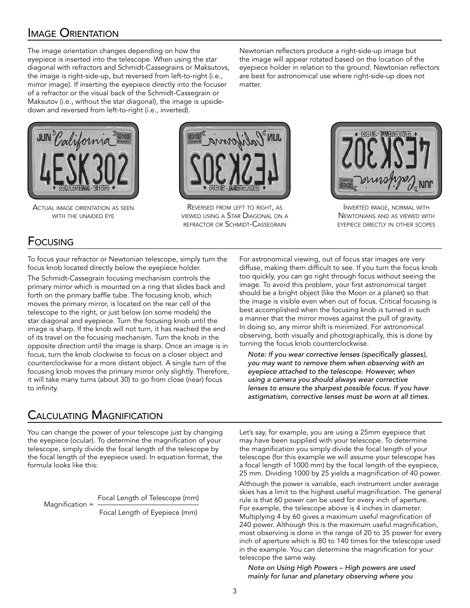# Image Orientation

The image orientation changes depending on how the eyepiece is inserted into the telescope. When using the star diagonal with refractors and Schmidt-Cassegrains or Maksutovs, the image is right-side-up, but reversed from left-to-right (i.e., mirror image). If inserting the eyepiece directly into the focuser of a refractor or the visual back of the Schmidt-Cassegrain or Maksutov (i.e., without the star diagonal), the image is upsidedown and reversed from left-to-right (i.e., inverted).



Actual image orientation as seen with the unaided eye



matter.

Reversed from left to right, as viewed using <sup>a</sup> Star Diagonal on <sup>a</sup> refractor or Schmidt-Cassegrain



Inverted image, normal with Newtonians and as viewed with eyepiece directly in other scopes

# Focusing

To focus your refractor or Newtonian telescope, simply turn the focus knob located directly below the eyepiece holder.

The Schmidt-Cassegrain focusing mechanism controls the primary mirror which is mounted on a ring that slides back and forth on the primary baffle tube. The focusing knob, which moves the primary mirror, is located on the rear cell of the telescope to the right, or just below (on some models) the star diagonal and eyepiece. Turn the focusing knob until the image is sharp. If the knob will not turn, it has reached the end of its travel on the focusing mechanism. Turn the knob in the opposite direction until the image is sharp. Once an image is in focus, turn the knob clockwise to focus on a closer object and counterclockwise for a more distant object. A single turn of the focusing knob moves the primary mirror only slightly. Therefore, it will take many turns (about 30) to go from close (near) focus to infinity.

For astronomical viewing, out of focus star images are very diffuse, making them difficult to see. If you turn the focus knob too quickly, you can go right through focus without seeing the image. To avoid this problem, your first astronomical target should be a bright object (like the Moon or a planet) so that the image is visible even when out of focus. Critical focusing is best accomplished when the focusing knob is turned in such a manner that the mirror moves against the pull of gravity. In doing so, any mirror shift is minimized. For astronomical observing, both visually and photographically, this is done by turning the focus knob counterclockwise.

Newtonian reflectors produce a right-side-up image but the image will appear rotated based on the location of the eyepiece holder in relation to the ground. Newtonian reflectors are best for astronomical use where right-side-up does not

*Note: If you wear corrective lenses (specifically glasses), you may want to remove them when observing with an eyepiece attached to the telescope. However, when using a camera you should always wear corrective lenses to ensure the sharpest possible focus. If you have astigmatism, corrective lenses must be worn at all times.*

# Calculating Magnification

You can change the power of your telescope just by changing the eyepiece (ocular). To determine the magnification of your telescope, simply divide the focal length of the telescope by the focal length of the eyepiece used. In equation format, the formula looks like this:

Magnification = Focal Length of Telescope (mm)

Focal Length of Eyepiece (mm)

Let's say, for example, you are using a 25mm eyepiece that may have been supplied with your telescope. To determine the magnification you simply divide the focal length of your telescope (for this example we will assume your telescope has a focal length of 1000 mm) by the focal length of the eyepiece, 25 mm. Dividing 1000 by 25 yields a magnification of 40 power.

Although the power is variable, each instrument under average skies has a limit to the highest useful magnification. The general rule is that 60 power can be used for every inch of aperture. For example, the telescope above is 4 inches in diameter. Multiplying 4 by 60 gives a maximum useful magnification of 240 power. Although this is the maximum useful magnification, most observing is done in the range of 20 to 35 power for every inch of aperture which is 80 to 140 times for the telescope used in the example. You can determine the magnification for your telescope the same way.

*Note on Using High Powers – High powers are used mainly for lunar and planetary observing where you*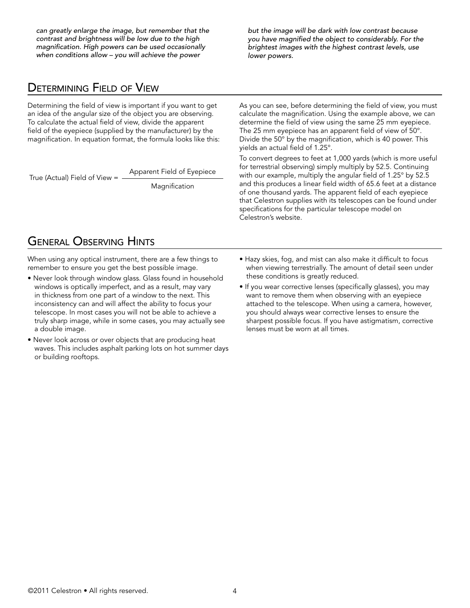*can greatly enlarge the image, but remember that the contrast and brightness will be low due to the high magnification. High powers can be used occasionally when conditions allow – you will achieve the power* 

*but the image will be dark with low contrast because you have magnified the object to considerably. For the brightest images with the highest contrast levels, use lower powers.*

#### Determining Field of View

Determining the field of view is important if you want to get an idea of the angular size of the object you are observing. To calculate the actual field of view, divide the apparent field of the eyepiece (supplied by the manufacturer) by the magnification  $\ln$  counting format the formula looks like this: magnification. In equation format, the formula looks like this:<br>.

True (Actual) Field of View = Apparent Field of Eyepiece

Magnification

As you can see, before determining the field of view, you must calculate the magnification. Using the example above, we can determine the field of view using the same 25 mm eyepiece. The 25 mm eyepiece has an apparent field of view of 50°. Divide the 50° by the magnification, which is 40 power. This yields an actual field of 1.25°.

To convert degrees to feet at 1,000 yards (which is more useful for terrestrial observing) simply multiply by 52.5. Continuing with our example, multiply the angular field of 1.25° by 52.5 and this produces a linear field width of 65.6 feet at a distance of one thousand yards. The apparent field of each eyepiece that Celestron supplies with its telescopes can be found under specifications for the particular telescope model on Celestron's website.

# General Observing Hints

When using any optical instrument, there are a few things to remember to ensure you get the best possible image.

- Never look through window glass. Glass found in household windows is optically imperfect, and as a result, may vary in thickness from one part of a window to the next. This inconsistency can and will affect the ability to focus your telescope. In most cases you will not be able to achieve a truly sharp image, while in some cases, you may actually see a double image.
- Never look across or over objects that are producing heat waves. This includes asphalt parking lots on hot summer days or building rooftops.
- Hazy skies, fog, and mist can also make it difficult to focus when viewing terrestrially. The amount of detail seen under these conditions is greatly reduced.
- If you wear corrective lenses (specifically glasses), you may want to remove them when observing with an eyepiece attached to the telescope. When using a camera, however, you should always wear corrective lenses to ensure the sharpest possible focus. If you have astigmatism, corrective lenses must be worn at all times.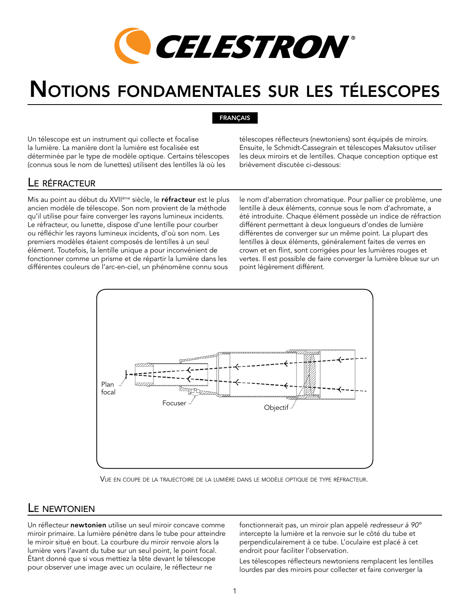

# Notions fondamentales sur les télescopes

#### FRANÇAIS

Un télescope est un instrument qui collecte et focalise la lumière. La manière dont la lumière est focalisée est déterminée par le type de modèle optique. Certains télescopes (connus sous le nom de lunettes) utilisent des lentilles là où les

télescopes réflecteurs (newtoniens) sont équipés de miroirs. Ensuite, le Schmidt-Cassegrain et télescopes Maksutov utiliser les deux miroirs et de lentilles. Chaque conception optique est brièvement discutée ci-dessous:

#### Le réfracteur

Mis au point au début du XVII<sup>ème</sup> siècle, le réfracteur est le plus ancien modèle de télescope. Son nom provient de la méthode qu'il utilise pour faire converger les rayons lumineux incidents. Le réfracteur, ou lunette, dispose d'une lentille pour courber ou réfléchir les rayons lumineux incidents, d'où son nom. Les premiers modèles étaient composés de lentilles à un seul élément. Toutefois, la lentille unique a pour inconvénient de fonctionner comme un prisme et de répartir la lumière dans les différentes couleurs de l'arc-en-ciel, un phénomène connu sous

le nom d'aberration chromatique. Pour pallier ce problème, une lentille à deux éléments, connue sous le nom d'achromate, a été introduite. Chaque élément possède un indice de réfraction différent permettant à deux longueurs d'ondes de lumière différentes de converger sur un même point. La plupart des lentilles à deux éléments, généralement faites de verres en crown et en flint, sont corrigées pour les lumières rouges et vertes. Il est possible de faire converger la lumière bleue sur un point légèrement différent.



Vue en coupe de la trajectoire de la lumière dans le modèle optique de type réfracteur.

#### L<sub>F</sub> NEWTONIEN

Un réflecteur newtonien utilise un seul miroir concave comme miroir primaire. La lumière pénètre dans le tube pour atteindre le miroir situé en bout. La courbure du miroir renvoie alors la lumière vers l'avant du tube sur un seul point, le point focal. Étant donné que si vous mettiez la tête devant le télescope pour observer une image avec un oculaire, le réflecteur ne

fonctionnerait pas, un miroir plan appelé *redresseur à 90º* intercepte la lumière et la renvoie sur le côté du tube et perpendiculairement à ce tube. L'oculaire est placé à cet endroit pour faciliter l'observation.

Les télescopes réflecteurs newtoniens remplacent les lentilles lourdes par des miroirs pour collecter et faire converger la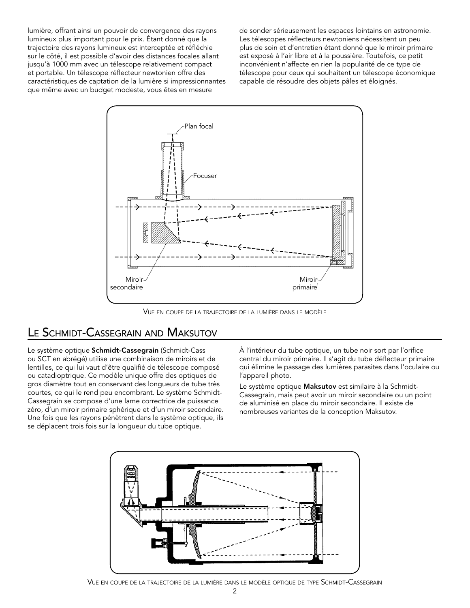lumière, offrant ainsi un pouvoir de convergence des rayons lumineux plus important pour le prix. Étant donné que la trajectoire des rayons lumineux est interceptée et réfléchie sur le côté, il est possible d'avoir des distances focales allant jusqu'à 1000 mm avec un télescope relativement compact et portable. Un télescope réflecteur newtonien offre des caractéristiques de captation de la lumière si impressionnantes que même avec un budget modeste, vous êtes en mesure

de sonder sérieusement les espaces lointains en astronomie. Les télescopes réflecteurs newtoniens nécessitent un peu plus de soin et d'entretien étant donné que le miroir primaire est exposé à l'air libre et à la poussière. Toutefois, ce petit inconvénient n'affecte en rien la popularité de ce type de télescope pour ceux qui souhaitent un télescope économique capable de résoudre des objets pâles et éloignés.



Vue en coupe de la trajectoire de la lumière dans le modèle

#### Le Schmidt-Cassegrain and Maksutov

Le système optique Schmidt-Cassegrain (Schmidt-Cass ou SCT en abrégé) utilise une combinaison de miroirs et de lentilles, ce qui lui vaut d'être qualifié de télescope composé ou catadioptrique. Ce modèle unique offre des optiques de gros diamètre tout en conservant des longueurs de tube très courtes, ce qui le rend peu encombrant. Le système Schmidt-Cassegrain se compose d'une lame correctrice de puissance zéro, d'un miroir primaire sphérique et d'un miroir secondaire. Une fois que les rayons pénètrent dans le système optique, ils se déplacent trois fois sur la longueur du tube optique.

À l'intérieur du tube optique, un tube noir sort par l'orifice central du miroir primaire. Il s'agit du tube déflecteur primaire qui élimine le passage des lumières parasites dans l'oculaire ou l'appareil photo.

Le système optique Maksutov est similaire à la Schmidt-Cassegrain, mais peut avoir un miroir secondaire ou un point de aluminisé en place du miroir secondaire. Il existe de nombreuses variantes de la conception Maksutov.



Vue en coupe de la trajectoire de la lumière dans le modèle optique de type Schmidt-Cassegrain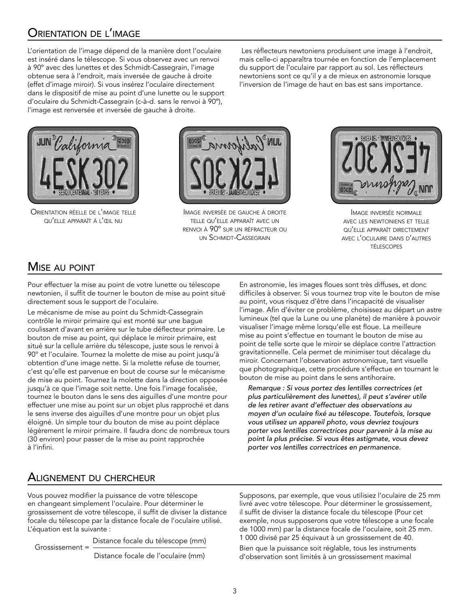# Orientation de l'image

L'orientation de l'image dépend de la manière dont l'oculaire est inséré dans le télescope. Si vous observez avec un renvoi à 90º avec des lunettes et des Schmidt-Cassegrain, l'image obtenue sera à l'endroit, mais inversée de gauche à droite (effet d'image miroir). Si vous insérez l'oculaire directement dans le dispositif de mise au point d'une lunette ou le support d'oculaire du Schmidt-Cassegrain (c-à-d. sans le renvoi à 90º), l'image est renversée et inversée de gauche à droite.

 Les réflecteurs newtoniens produisent une image à l'endroit, mais celle-ci apparaîtra tournée en fonction de l'emplacement du support de l'oculaire par rapport au sol. Les réflecteurs newtoniens sont ce qu'il y a de mieux en astronomie lorsque l'inversion de l'image de haut en bas est sans importance.



Orientation réelle de l'image telle qu'elle apparaît <sup>à</sup> l'œil nu



Image inversée de gauche <sup>à</sup> droite telle qu'elle apparaît avec un renvoi à 90º sur un réfracteur ou un Schmidt-Cassegrain



Image inversée normale avec les newtoniens et telle qu'elle apparaît directement avec l'oculaire dans d'autres télescopes

# **MISE AU POINT**

Pour effectuer la mise au point de votre lunette ou télescope newtonien, il suffit de tourner le bouton de mise au point situé directement sous le support de l'oculaire.

Le mécanisme de mise au point du Schmidt-Cassegrain contrôle le miroir primaire qui est monté sur une bague coulissant d'avant en arrière sur le tube déflecteur primaire. Le bouton de mise au point, qui déplace le miroir primaire, est situé sur la cellule arrière du télescope, juste sous le renvoi à 90° et l'oculaire. Tournez la molette de mise au point jusqu'à obtention d'une image nette. Si la molette refuse de tourner, c'est qu'elle est parvenue en bout de course sur le mécanisme de mise au point. Tournez la molette dans la direction opposée jusqu'à ce que l'image soit nette. Une fois l'image focalisée, tournez le bouton dans le sens des aiguilles d'une montre pour effectuer une mise au point sur un objet plus rapproché et dans le sens inverse des aiguilles d'une montre pour un objet plus éloigné. Un simple tour du bouton de mise au point déplace légèrement le miroir primaire. Il faudra donc de nombreux tours (30 environ) pour passer de la mise au point rapprochée à l'infini.

En astronomie, les images floues sont très diffuses, et donc difficiles à observer. Si vous tournez trop vite le bouton de mise au point, vous risquez d'être dans l'incapacité de visualiser l'image. Afin d'éviter ce problème, choisissez au départ un astre lumineux (tel que la Lune ou une planète) de manière à pouvoir visualiser l'image même lorsqu'elle est floue. La meilleure mise au point s'effectue en tournant le bouton de mise au point de telle sorte que le miroir se déplace contre l'attraction gravitationnelle. Cela permet de minimiser tout décalage du miroir. Concernant l'observation astronomique, tant visuelle que photographique, cette procédure s'effectue en tournant le bouton de mise au point dans le sens antihoraire.

*Remarque : Si vous portez des lentilles correctrices (et plus particulièrement des lunettes), il peut s'avérer utile de les retirer avant d'effectuer des observations au moyen d'un oculaire fixé au télescope. Toutefois, lorsque vous utilisez un appareil photo, vous devriez toujours porter vos lentilles correctrices pour parvenir à la mise au point la plus précise. Si vous êtes astigmate, vous devez porter vos lentilles correctrices en permanence.*

### Alignement du chercheur

Vous pouvez modifier la puissance de votre télescope en changeant simplement l'oculaire. Pour déterminer le grossissement de votre télescope, il suffit de diviser la distance focale du télescope par la distance focale de l'oculaire utilisé. L'équation est la suivante :

Grossissement = Distance focale du télescope (mm)

Distance focale de l'oculaire (mm)

Supposons, par exemple, que vous utilisiez l'oculaire de 25 mm livré avec votre télescope. Pour déterminer le grossissement, il suffit de diviser la distance focale du télescope (Pour cet exemple, nous supposerons que votre télescope a une focale de 1000 mm) par la distance focale de l'oculaire, soit 25 mm. 1 000 divisé par 25 équivaut à un grossissement de 40.

Bien que la puissance soit réglable, tous les instruments d'observation sont limités à un grossissement maximal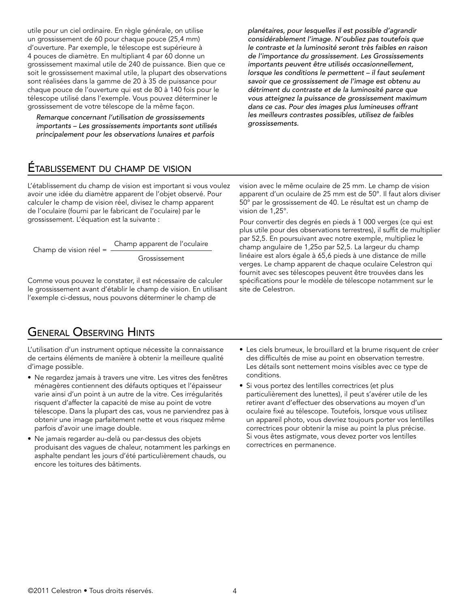utile pour un ciel ordinaire. En règle générale, on utilise un grossissement de 60 pour chaque pouce (25,4 mm) d'ouverture. Par exemple, le télescope est supérieure à 4 pouces de diamètre. En multipliant 4 par 60 donne un grossissement maximal utile de 240 de puissance. Bien que ce soit le grossissement maximal utile, la plupart des observations sont réalisées dans la gamme de 20 à 35 de puissance pour chaque pouce de l'ouverture qui est de 80 à 140 fois pour le télescope utilisé dans l'exemple. Vous pouvez déterminer le grossissement de votre télescope de la même façon.

*Remarque concernant l'utilisation de grossissements importants – Les grossissements importants sont utilisés principalement pour les observations lunaires et parfois* 

# Établissement du champ de vision

L'établissement du champ de vision est important si vous voulez avoir une idée du diamètre apparent de l'objet observé. Pour calculer le champ de vision réel, divisez le champ apparent<br>de l'oculaire (fourni par le fabricant de l'oculaire) par le de l'oculaire (fourni par le fabricant de l'oculaire) par le active and the line for the substance of the summer of the line of the line of the line of the definition of the definition of the definition of the definition of the definition of the definition of the definition of the d

Champ de vision réel = Champ apparent de l'oculaire

Grossissement

Comme vous pouvez le constater, il est nécessaire de calculer le grossissement avant d'établir le champ de vision. En utilisant l'exemple ci-dessus, nous pouvons déterminer le champ de

# General Observing Hints

L'utilisation d'un instrument optique nécessite la connaissance de certains éléments de manière à obtenir la meilleure qualité d'image possible.

- Ne regardez jamais à travers une vitre. Les vitres des fenêtres ménagères contiennent des défauts optiques et l'épaisseur varie ainsi d'un point à un autre de la vitre. Ces irrégularités risquent d'affecter la capacité de mise au point de votre télescope. Dans la plupart des cas, vous ne parviendrez pas à obtenir une image parfaitement nette et vous risquez même parfois d'avoir une image double.
- Ne jamais regarder au-delà ou par-dessus des objets produisant des vagues de chaleur, notamment les parkings en asphalte pendant les jours d'été particulièrement chauds, ou encore les toitures des bâtiments.

*planétaires, pour lesquelles il est possible d'agrandir considérablement l'image. N'oubliez pas toutefois que le contraste et la luminosité seront très faibles en raison de l'importance du grossissement. Les Grossissements importants peuvent être utilisés occasionnellement, lorsque les conditions le permettent – il faut seulement savoir que ce grossissement de l'image est obtenu au détriment du contraste et de la luminosité parce que vous atteignez la puissance de grossissement maximum dans ce cas. Pour des images plus lumineuses offrant les meilleurs contrastes possibles, utilisez de faibles grossissements.*

vision avec le même oculaire de 25 mm. Le champ de vision apparent d'un oculaire de 25 mm est de 50°. Il faut alors diviser 50° par le grossissement de 40. Le résultat est un champ de vision de 1,25°.

Pour convertir des degrés en pieds à 1 000 verges (ce qui est plus utile pour des observations terrestres), il suffit de multiplier par 52,5. En poursuivant avec notre exemple, multipliez le champ angulaire de 1,25o par 52,5. La largeur du champ linéaire est alors égale à 65,6 pieds à une distance de mille verges. Le champ apparent de chaque oculaire Celestron qui fournit avec ses télescopes peuvent être trouvées dans les spécifications pour le modèle de télescope notamment sur le site de Celestron.

- Les ciels brumeux, le brouillard et la brume risquent de créer des difficultés de mise au point en observation terrestre. Les détails sont nettement moins visibles avec ce type de conditions.
- Si vous portez des lentilles correctrices (et plus particulièrement des lunettes), il peut s'avérer utile de les retirer avant d'effectuer des observations au moyen d'un oculaire fixé au télescope. Toutefois, lorsque vous utilisez un appareil photo, vous devriez toujours porter vos lentilles correctrices pour obtenir la mise au point la plus précise. Si vous êtes astigmate, vous devez porter vos lentilles correctrices en permanence.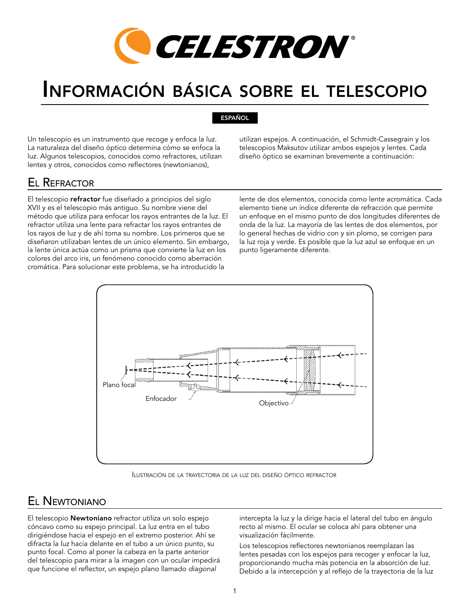

# Información básica sobre el telescopio

#### ESPAÑOL

Un telescopio es un instrumento que recoge y enfoca la luz. La naturaleza del diseño óptico determina cómo se enfoca la luz. Algunos telescopios, conocidos como refractores, utilizan lentes y otros, conocidos como reflectores (newtonianos),

utilizan espejos. A continuación, el Schmidt-Cassegrain y los telescopios Maksutov utilizar ambos espejos y lentes. Cada diseño óptico se examinan brevemente a continuación:

#### El Refractor

El telescopio refractor fue diseñado a principios del siglo XVII y es el telescopio más antiguo. Su nombre viene del método que utiliza para enfocar los rayos entrantes de la luz. El refractor utiliza una lente para refractar los rayos entrantes de los rayos de luz y de ahí toma su nombre. Los primeros que se diseñaron utilizaban lentes de un único elemento. Sin embargo, la lente única actúa como un prisma que convierte la luz en los colores del arco iris, un fenómeno conocido como aberración cromática. Para solucionar este problema, se ha introducido la

lente de dos elementos, conocida como lente acromática. Cada elemento tiene un índice diferente de refracción que permite un enfoque en el mismo punto de dos longitudes diferentes de onda de la luz. La mayoría de las lentes de dos elementos, por lo general hechas de vidrio con y sin plomo, se corrigen para la luz roja y verde. Es posible que la luz azul se enfoque en un punto ligeramente diferente.



Ilustración de la trayectoria de la luz del diseño óptico refractor

### El Newtoniano

El telescopio Newtoniano refractor utiliza un solo espejo cóncavo como su espejo principal. La luz entra en el tubo dirigiéndose hacia el espejo en el extremo posterior. Ahí se difracta la luz hacia delante en el tubo a un único punto, su punto focal. Como al poner la cabeza en la parte anterior del telescopio para mirar a la imagen con un ocular impedirá que funcione el reflector, un espejo plano llamado *diagonal*

intercepta la luz y la dirige hacia el lateral del tubo en ángulo recto al mismo. El ocular se coloca ahí para obtener una visualización fácilmente.

Los telescopios reflectores newtonianos reemplazan las lentes pesadas con los espejos para recoger y enfocar la luz, proporcionando mucha más potencia en la absorción de luz. Debido a la intercepción y al reflejo de la trayectoria de la luz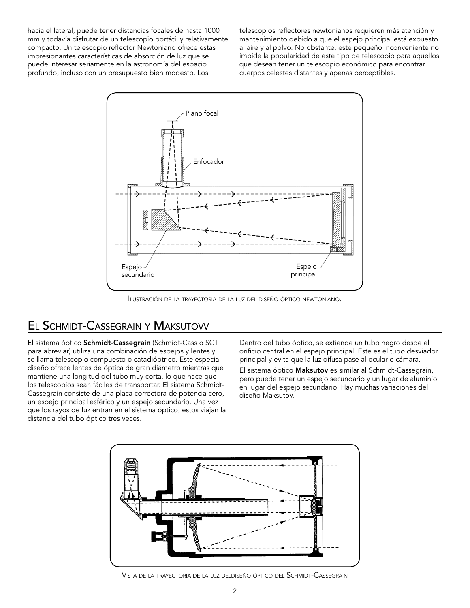hacia el lateral, puede tener distancias focales de hasta 1000 mm y todavía disfrutar de un telescopio portátil y relativamente compacto. Un telescopio reflector Newtoniano ofrece estas impresionantes características de absorción de luz que se puede interesar seriamente en la astronomía del espacio profundo, incluso con un presupuesto bien modesto. Los

telescopios reflectores newtonianos requieren más atención y mantenimiento debido a que el espejo principal está expuesto al aire y al polvo. No obstante, este pequeño inconveniente no impide la popularidad de este tipo de telescopio para aquellos que desean tener un telescopio económico para encontrar cuerpos celestes distantes y apenas perceptibles.



Ilustración de la trayectoria de la luz del diseño óptico newtoniano.

# El Schmidt-Cassegrain <sup>y</sup> Maksutovv

El sistema óptico Schmidt-Cassegrain (Schmidt-Cass o SCT para abreviar) utiliza una combinación de espejos y lentes y se llama telescopio compuesto o catadióptrico. Este especial diseño ofrece lentes de óptica de gran diámetro mientras que mantiene una longitud del tubo muy corta, lo que hace que los telescopios sean fáciles de transportar. El sistema Schmidt-Cassegrain consiste de una placa correctora de potencia cero, un espejo principal esférico y un espejo secundario. Una vez que los rayos de luz entran en el sistema óptico, estos viajan la distancia del tubo óptico tres veces.

Dentro del tubo óptico, se extiende un tubo negro desde el orificio central en el espejo principal. Este es el tubo desviador principal y evita que la luz difusa pase al ocular o cámara. El sistema óptico Maksutov es similar al Schmidt-Cassegrain, pero puede tener un espejo secundario y un lugar de aluminio en lugar del espejo secundario. Hay muchas variaciones del diseño Maksutov.



Vista de la trayectoria de la luz deldiseño óptico del Schmidt-Cassegrain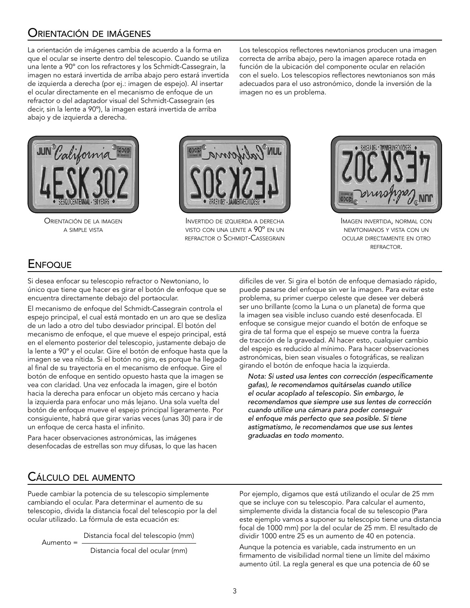### Orientación de imágenes

La orientación de imágenes cambia de acuerdo a la forma en que el ocular se inserte dentro del telescopio. Cuando se utiliza una lente a 90º con los refractores y los Schmidt-Cassegrain, la imagen no estará invertida de arriba abajo pero estará invertida de izquierda a derecha (por ej.: imagen de espejo). Al insertar el ocular directamente en el mecanismo de enfoque de un refractor o del adaptador visual del Schmidt-Cassegrain (es decir, sin la lente a 90º), la imagen estará invertida de arriba abajo y de izquierda a derecha.

Los telescopios reflectores newtonianos producen una imagen correcta de arriba abajo, pero la imagen aparece rotada en función de la ubicación del componente ocular en relación con el suelo. Los telescopios reflectores newtonianos son más adecuados para el uso astronómico, donde la inversión de la imagen no es un problema.



Orientación de la imagen a simple vista



Invertido de izquierda <sup>a</sup> derecha visto con una lente a 90º en un refractor <sup>o</sup> Schmidt-Cassegrain



Imagen invertida, normal con newtonianos y vista con un ocular directamente en otro refractor.

### **ENFOQUE**

Si desea enfocar su telescopio refractor o Newtoniano, lo único que tiene que hacer es girar el botón de enfoque que se encuentra directamente debajo del portaocular.

El mecanismo de enfoque del Schmidt-Cassegrain controla el espejo principal, el cual está montado en un aro que se desliza de un lado a otro del tubo desviador principal. El botón del mecanismo de enfoque, el que mueve el espejo principal, está en el elemento posterior del telescopio, justamente debajo de la lente a 90º y el ocular. Gire el botón de enfoque hasta que la imagen se vea nítida. Si el botón no gira, es porque ha llegado al final de su trayectoria en el mecanismo de enfoque. Gire el botón de enfoque en sentido opuesto hasta que la imagen se vea con claridad. Una vez enfocada la imagen, gire el botón hacia la derecha para enfocar un objeto más cercano y hacia la izquierda para enfocar uno más lejano. Una sola vuelta del botón de enfoque mueve el espejo principal ligeramente. Por consiguiente, habrá que girar varias veces (unas 30) para ir de un enfoque de cerca hasta el infinito.

Para hacer observaciones astronómicas, las imágenes desenfocadas de estrellas son muy difusas, lo que las hacen difíciles de ver. Si gira el botón de enfoque demasiado rápido, puede pasarse del enfoque sin ver la imagen. Para evitar este problema, su primer cuerpo celeste que desee ver deberá ser uno brillante (como la Luna o un planeta) de forma que la imagen sea visible incluso cuando esté desenfocada. El enfoque se consigue mejor cuando el botón de enfoque se gira de tal forma que el espejo se mueve contra la fuerza de tracción de la gravedad. Al hacer esto, cualquier cambio del espejo es reducido al mínimo. Para hacer observaciones astronómicas, bien sean visuales o fotográficas, se realizan girando el botón de enfoque hacia la izquierda.

*Nota: Si usted usa lentes con corrección (específicamente gafas), le recomendamos quitárselas cuando utilice el ocular acoplado al telescopio. Sin embargo, le recomendamos que siempre use sus lentes de corrección cuando utilice una cámara para poder conseguir el enfoque más perfecto que sea posible. Si tiene astigmatismo, le recomendamos que use sus lentes graduadas en todo momento.*

### Cálculo del aumento

Puede cambiar la potencia de su telescopio simplemente cambiando el ocular. Para determinar el aumento de su telescopio, divida la distancia focal del telescopio por la del ocular utilizado. La fórmula de esta ecuación es:

Aumento = Distancia focal del telescopio (mm)

Distancia focal del ocular (mm)

Por ejemplo, digamos que está utilizando el ocular de 25 mm que se incluye con su telescopio. Para calcular el aumento, simplemente divida la distancia focal de su telescopio (Para este ejemplo vamos a suponer su telescopio tiene una distancia focal de 1000 mm) por la del ocular de 25 mm. El resultado de dividir 1000 entre 25 es un aumento de 40 en potencia.

Aunque la potencia es variable, cada instrumento en un firmamento de visibilidad normal tiene un límite del máximo aumento útil. La regla general es que una potencia de 60 se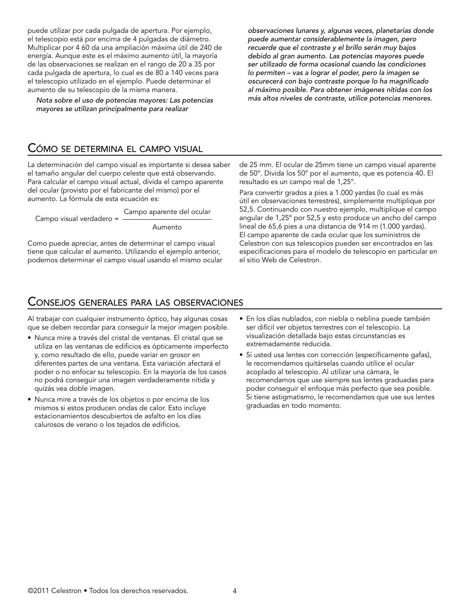puede utilizar por cada pulgada de apertura. Por ejemplo, el telescopio está por encima de 4 pulgadas de diámetro. Multiplicar por 4 60 da una ampliación máxima útil de 240 de energía. Aunque este es el máximo aumento útil, la mayoría de las observaciones se realizan en el rango de 20 a 35 por cada pulgada de apertura, lo cual es de 80 a 140 veces para el telescopio utilizado en el ejemplo. Puede determinar el aumento de su telescopio de la misma manera.

*Nota sobre el uso de potencias mayores: Las potencias mayores se utilizan principalmente para realizar* 

*observaciones lunares y, algunas veces, planetarias donde puede aumentar considerablemente la imagen, pero recuerde que el contraste y el brillo serán muy bajos debido al gran aumento. Las potencias mayores puede ser utilizado de forma ocasional cuando las condiciones lo permiten – vas a lograr el poder, pero la imagen se oscurecerá con bajo contraste porque lo ha magnificado al máximo posible. Para obtener imágenes nítidas con los más altos niveles de contraste, utilice potencias menores.*

#### Cómo se determina el campo visual

La determinación del campo visual es importante si desea saber el tamaño angular del cuerpo celeste que está observando. Para calcular el campo visual actual, divida el campo aparente del ocular (provisto por el fabricante del mismo) por el aumento. La fórmula de esta ecuación es:

Campo visual verdadero = Campo aparente del ocular

Aumento

Como puede apreciar, antes de determinar el campo visual tiene que calcular el aumento. Utilizando el ejemplo anterior, podemos determinar el campo visual usando el mismo ocular de 25 mm. El ocular de 25mm tiene un campo visual aparente de 50°. Divida los 50° por el aumento, que es potencia 40. El resultado es un campo real de 1,25°.

Para convertir grados a pies a 1.000 yardas (lo cual es más útil en observaciones terrestres), simplemente multiplique por 52,5. Continuando con nuestro ejemplo, multiplique el campo angular de 1,25º por 52,5 y esto produce un ancho del campo lineal de 65,6 pies a una distancia de 914 m (1.000 yardas). El campo aparente de cada ocular que los suministros de Celestron con sus telescopios pueden ser encontrados en las especificaciones para el modelo de telescopio en particular en el sitio Web de Celestron.

#### Consejos generales para las observaciones

Al trabajar con cualquier instrumento óptico, hay algunas cosas que se deben recordar para conseguir la mejor imagen posible.

- Nunca mire a través del cristal de ventanas. El cristal que se utiliza en las ventanas de edificios es ópticamente imperfecto y, como resultado de ello, puede variar en grosor en diferentes partes de una ventana. Esta variación afectará el poder o no enfocar su telescopio. En la mayoría de los casos no podrá conseguir una imagen verdaderamente nítida y quizás vea doble imagen.
- Nunca mire a través de los objetos o por encima de los mismos si estos producen ondas de calor. Esto incluye estacionamientos descubiertos de asfalto en los días calurosos de verano o los tejados de edificios.
- En los días nublados, con niebla o neblina puede también ser difícil ver objetos terrestres con el telescopio. La visualización detallada bajo estas circunstancias es extremadamente reducida.
- Si usted usa lentes con corrección (específicamente gafas), le recomendamos quitárselas cuando utilice el ocular acoplado al telescopio. Al utilizar una cámara, le recomendamos que use siempre sus lentes graduadas para poder conseguir el enfoque más perfecto que sea posible. Si tiene astigmatismo, le recomendamos que use sus lentes graduadas en todo momento.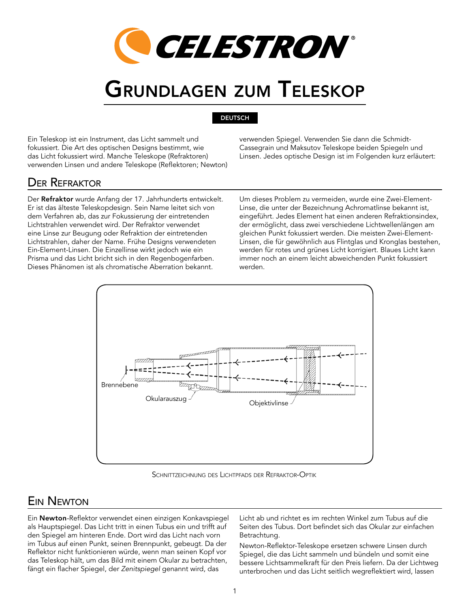

# Grundlagen zum Teleskop

#### DEUTSCH

Ein Teleskop ist ein Instrument, das Licht sammelt und fokussiert. Die Art des optischen Designs bestimmt, wie das Licht fokussiert wird. Manche Teleskope (Refraktoren) verwenden Linsen und andere Teleskope (Reflektoren; Newton) verwenden Spiegel. Verwenden Sie dann die Schmidt-Cassegrain und Maksutov Teleskope beiden Spiegeln und Linsen. Jedes optische Design ist im Folgenden kurz erläutert:

### Der Refraktor

Der Refraktor wurde Anfang der 17. Jahrhunderts entwickelt. Er ist das älteste Teleskopdesign. Sein Name leitet sich von dem Verfahren ab, das zur Fokussierung der eintretenden Lichtstrahlen verwendet wird. Der Refraktor verwendet eine Linse zur Beugung oder Refraktion der eintretenden Lichtstrahlen, daher der Name. Frühe Designs verwendeten Ein-Element-Linsen. Die Einzellinse wirkt jedoch wie ein Prisma und das Licht bricht sich in den Regenbogenfarben. Dieses Phänomen ist als chromatische Aberration bekannt.

Um dieses Problem zu vermeiden, wurde eine Zwei-Element-Linse, die unter der Bezeichnung Achromatlinse bekannt ist, eingeführt. Jedes Element hat einen anderen Refraktionsindex, der ermöglicht, dass zwei verschiedene Lichtwellenlängen am gleichen Punkt fokussiert werden. Die meisten Zwei-Element-Linsen, die für gewöhnlich aus Flintglas und Kronglas bestehen, werden für rotes und grünes Licht korrigiert. Blaues Licht kann immer noch an einem leicht abweichenden Punkt fokussiert werden.



Schnittzeichnung des Lichtpfads der Refraktor-Optik

# Ein Newton

Ein Newton-Reflektor verwendet einen einzigen Konkavspiegel als Hauptspiegel. Das Licht tritt in einen Tubus ein und trifft auf den Spiegel am hinteren Ende. Dort wird das Licht nach vorn im Tubus auf einen Punkt, seinen Brennpunkt, gebeugt. Da der Reflektor nicht funktionieren würde, wenn man seinen Kopf vor das Teleskop hält, um das Bild mit einem Okular zu betrachten, fängt ein flacher Spiegel, der *Zenitspiegel* genannt wird, das

Licht ab und richtet es im rechten Winkel zum Tubus auf die Seiten des Tubus. Dort befindet sich das Okular zur einfachen Betrachtung.

Newton-Reflektor-Teleskope ersetzen schwere Linsen durch Spiegel, die das Licht sammeln und bündeln und somit eine bessere Lichtsammelkraft für den Preis liefern. Da der Lichtweg unterbrochen und das Licht seitlich wegreflektiert wird, lassen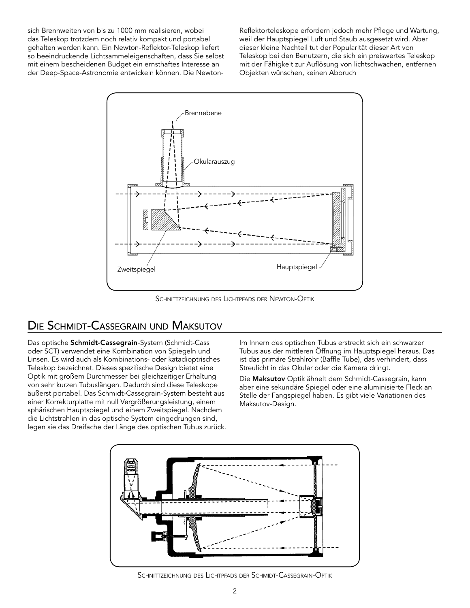sich Brennweiten von bis zu 1000 mm realisieren, wobei das Teleskop trotzdem noch relativ kompakt und portabel gehalten werden kann. Ein Newton-Reflektor-Teleskop liefert so beeindruckende Lichtsammeleigenschaften, dass Sie selbst mit einem bescheidenen Budget ein ernsthaftes Interesse an der Deep-Space-Astronomie entwickeln können. Die NewtonReflektorteleskope erfordern jedoch mehr Pflege und Wartung, weil der Hauptspiegel Luft und Staub ausgesetzt wird. Aber dieser kleine Nachteil tut der Popularität dieser Art von Teleskop bei den Benutzern, die sich ein preiswertes Teleskop mit der Fähigkeit zur Auflösung von lichtschwachen, entfernen Objekten wünschen, keinen Abbruch



Schnittzeichnung des Lichtpfads der Newton-Optik

# Die Schmidt-Cassegrain und Maksutov

Das optische Schmidt-Cassegrain-System (Schmidt-Cass oder SCT) verwendet eine Kombination von Spiegeln und Linsen. Es wird auch als Kombinations- oder katadioptrisches Teleskop bezeichnet. Dieses spezifische Design bietet eine Optik mit großem Durchmesser bei gleichzeitiger Erhaltung von sehr kurzen Tubuslängen. Dadurch sind diese Teleskope äußerst portabel. Das Schmidt-Cassegrain-System besteht aus einer Korrekturplatte mit null Vergrößerungsleistung, einem sphärischen Hauptspiegel und einem Zweitspiegel. Nachdem die Lichtstrahlen in das optische System eingedrungen sind, legen sie das Dreifache der Länge des optischen Tubus zurück. Im Innern des optischen Tubus erstreckt sich ein schwarzer Tubus aus der mittleren Öffnung im Hauptspiegel heraus. Das ist das primäre Strahlrohr (Baffle Tube), das verhindert, dass Streulicht in das Okular oder die Kamera dringt.

Die Maksutov Optik ähnelt dem Schmidt-Cassegrain, kann aber eine sekundäre Spiegel oder eine aluminisierte Fleck an Stelle der Fangspiegel haben. Es gibt viele Variationen des Maksutov-Design.



Schnittzeichnung des Lichtpfads der Schmidt-Cassegrain-Optik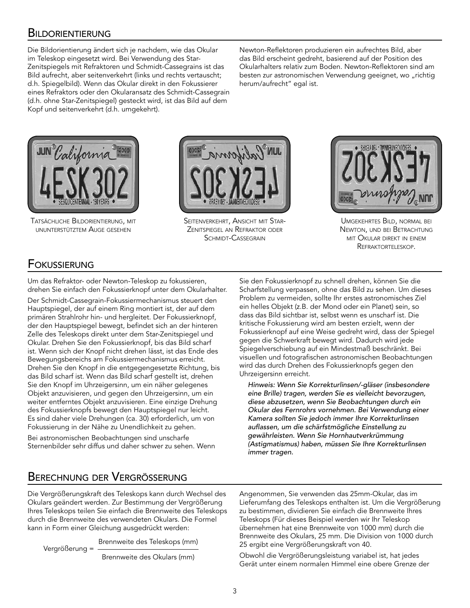#### **BILDORIENTIERUNG**

Die Bildorientierung ändert sich je nachdem, wie das Okular im Teleskop eingesetzt wird. Bei Verwendung des Star-Zenitspiegels mit Refraktoren und Schmidt-Cassegrains ist das Bild aufrecht, aber seitenverkehrt (links und rechts vertauscht; d.h. Spiegelbild). Wenn das Okular direkt in den Fokussierer eines Refraktors oder den Okularansatz des Schmidt-Cassegrain (d.h. ohne Star-Zenitspiegel) gesteckt wird, ist das Bild auf dem Kopf und seitenverkehrt (d.h. umgekehrt).

Newton-Reflektoren produzieren ein aufrechtes Bild, aber das Bild erscheint gedreht, basierend auf der Position des Okularhalters relativ zum Boden. Newton-Reflektoren sind am besten zur astronomischen Verwendung geeignet, wo "richtig herum/aufrecht" egal ist.



Tatsächliche Bildorientierung, mit ununterstütztem Auge gesehen



Seitenverkehrt, Ansicht mit Star-Zenitspiegel an Refraktor oder SCHMIDT-CASSEGRAIN



Umgekehrtes Bild, normal bei Newton, und bei Betrachtung mit Okular direkt in einem Refraktorteleskop.

#### Fokussierung

Um das Refraktor- oder Newton-Teleskop zu fokussieren, drehen Sie einfach den Fokussierknopf unter dem Okularhalter.

Der Schmidt-Cassegrain-Fokussiermechanismus steuert den Hauptspiegel, der auf einem Ring montiert ist, der auf dem primären Strahlrohr hin- und hergleitet. Der Fokussierknopf, der den Hauptspiegel bewegt, befindet sich an der hinteren Zelle des Teleskops direkt unter dem Star-Zenitspiegel und Okular. Drehen Sie den Fokussierknopf, bis das Bild scharf ist. Wenn sich der Knopf nicht drehen lässt, ist das Ende des Bewegungsbereichs am Fokussiermechanismus erreicht. Drehen Sie den Knopf in die entgegengesetzte Richtung, bis das Bild scharf ist. Wenn das Bild scharf gestellt ist, drehen Sie den Knopf im Uhrzeigersinn, um ein näher gelegenes Objekt anzuvisieren, und gegen den Uhrzeigersinn, um ein weiter entferntes Objekt anzuvisieren. Eine einzige Drehung des Fokussierknopfs bewegt den Hauptspiegel nur leicht. Es sind daher viele Drehungen (ca. 30) erforderlich, um von Fokussierung in der Nähe zu Unendlichkeit zu gehen.

Bei astronomischen Beobachtungen sind unscharfe Sternenbilder sehr diffus und daher schwer zu sehen. Wenn Sie den Fokussierknopf zu schnell drehen, können Sie die Scharfstellung verpassen, ohne das Bild zu sehen. Um dieses Problem zu vermeiden, sollte Ihr erstes astronomisches Ziel ein helles Objekt (z.B. der Mond oder ein Planet) sein, so dass das Bild sichtbar ist, selbst wenn es unscharf ist. Die kritische Fokussierung wird am besten erzielt, wenn der Fokussierknopf auf eine Weise gedreht wird, dass der Spiegel gegen die Schwerkraft bewegt wird. Dadurch wird jede Spiegelverschiebung auf ein Mindestmaß beschränkt. Bei visuellen und fotografischen astronomischen Beobachtungen wird das durch Drehen des Fokussierknopfs gegen den Uhrzeigersinn erreicht.

*Hinweis: Wenn Sie Korrekturlinsen/-gläser (insbesondere eine Brille) tragen, werden Sie es vielleicht bevorzugen, diese abzusetzen, wenn Sie Beobachtungen durch ein Okular des Fernrohrs vornehmen. Bei Verwendung einer Kamera sollten Sie jedoch immer Ihre Korrekturlinsen auflassen, um die schärfstmögliche Einstellung zu gewährleisten. Wenn Sie Hornhautverkrümmung (Astigmatismus) haben, müssen Sie Ihre Korrekturlinsen immer tragen.*

# Berechnung der Vergrösserung

Die Vergrößerungskraft des Teleskops kann durch Wechsel des Okulars geändert werden. Zur Bestimmung der Vergrößerung Ihres Teleskops teilen Sie einfach die Brennweite des Teleskops durch die Brennweite des verwendeten Okulars. Die Formel kann in Form einer Gleichung ausgedrückt werden:

Vergrößerung = Brennweite des Teleskops (mm)

Brennweite des Okulars (mm)

Angenommen, Sie verwenden das 25mm-Okular, das im Lieferumfang des Teleskops enthalten ist. Um die Vergrößerung zu bestimmen, dividieren Sie einfach die Brennweite Ihres Teleskops (Für dieses Beispiel werden wir Ihr Teleskop übernehmen hat eine Brennweite von 1000 mm) durch die Brennweite des Okulars, 25 mm. Die Division von 1000 durch 25 ergibt eine Vergrößerungskraft von 40.

Obwohl die Vergrößerungsleistung variabel ist, hat jedes Gerät unter einem normalen Himmel eine obere Grenze der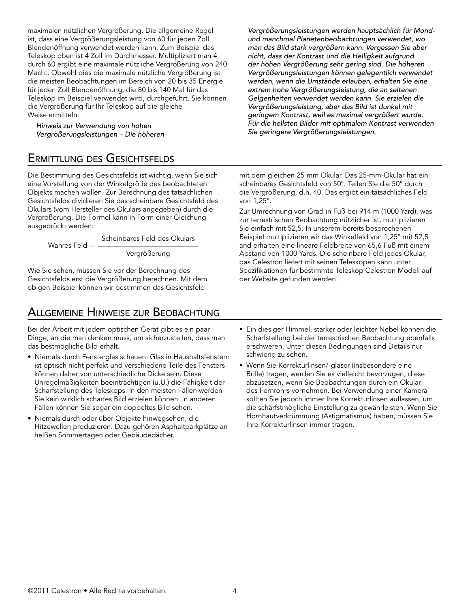maximalen nützlichen Vergrößerung. Die allgemeine Regel ist, dass eine Vergrößerungsleistung von 60 für jeden Zoll Blendenöffnung verwendet werden kann. Zum Beispiel das Teleskop oben ist 4 Zoll im Durchmesser. Multipliziert man 4 durch 60 ergibt eine maximale nützliche Vergrößerung von 240 Macht. Obwohl dies die maximale nützliche Vergrößerung ist die meisten Beobachtungen im Bereich von 20 bis 35 Energie für jeden Zoll Blendenöffnung, die 80 bis 140 Mal für das Teleskop im Beispiel verwendet wird, durchgeführt. Sie können die Vergrößerung für Ihr Teleskop auf die gleiche Weise ermitteln.

*Hinweis zur Verwendung von hohen Vergrößerungsleistungen – Die höheren* 

### Ermittlung des Gesichtsfelds

Die Bestimmung des Gesichtsfelds ist wichtig, wenn Sie sich eine Vorstellung von der Winkelgröße des beobachteten Objekts machen wollen. Zur Berechnung des tatsächlichen Gesichtsfelds dividieren Sie das scheinbare Gesichtsfeld des Okulars (vom Hersteller des Okulars angegeben) durch die Vergrößerung. Die Formel kann in Form einer Gleichung ausgedrückt werden:

> Wahres Feld = Scheinbares Feld des Okulars Vergrößerung

Wie Sie sehen, müssen Sie vor der Berechnung des Gesichtsfelds erst die Vergrößerung berechnen. Mit dem obigen Beispiel können wir bestimmen das Gesichtsfeld

### Allgemeine Hinweise zur Beobachtung

Bei der Arbeit mit jedem optischen Gerät gibt es ein paar Dinge, an die man denken muss, um sicherzustellen, dass man das bestmögliche Bild erhält.

- Niemals durch Fensterglas schauen. Glas in Haushaltsfenstern ist optisch nicht perfekt und verschiedene Teile des Fensters können daher von unterschiedliche Dicke sein. Diese Unregelmäßigkeiten beeinträchtigen (u.U.) die Fähigkeit der Scharfstellung des Teleskops. In den meisten Fällen werden Sie kein wirklich scharfes Bild erzielen können. In anderen Fällen können Sie sogar ein doppeltes Bild sehen.
- Niemals durch oder über Objekte hinwegsehen, die Hitzewellen produzieren. Dazu gehören Asphaltparkplätze an heißen Sommertagen oder Gebäudedächer.

*Vergrößerungsleistungen werden hauptsächlich für Mondund manchmal Planetenbeobachtungen verwendet, wo man das Bild stark vergrößern kann. Vergessen Sie aber nicht, dass der Kontrast und die Helligkeit aufgrund der hohen Vergrößerung sehr gering sind. Die höheren Vergrößerungsleistungen können gelegentlich verwendet werden, wenn die Umstände erlauben, erhalten Sie eine extrem hohe Vergrößerungsleistung, die an seltenen Gelgenheiten verwendet werden kann. Sie erzielen die Vergrößerungsleistung, aber das Bild ist dunkel mit geringem Kontrast, weil es maximal vergrößert wurde. Für die hellsten Bilder mit optimalem Kontrast verwenden Sie geringere Vergrößerungsleistungen.*

mit dem gleichen 25 mm Okular. Das 25-mm-Okular hat ein scheinbares Gesichtsfeld von 50°. Teilen Sie die 50° durch die Vergrößerung, d.h. 40. Das ergibt ein tatsächliches Feld von 1,25°.

Zur Umrechnung von Grad in Fuß bei 914 m (1000 Yard), was zur terrestrischen Beobachtung nützlicher ist, multiplizieren Sie einfach mit 52,5. In unserem bereits besprochenen Beispiel multiplizieren wir das Winkelfeld von 1,25° mit 52,5 and erhalten eine lineare Feldbreite von 65,6 Fuß mit einem Abstand von 1000 Yards. Die scheinbare Feld jedes Okular, das Celestron liefert mit seinen Teleskopen kann unter Spezifikationen für bestimmte Teleskop Celestron Modell auf der Website gefunden werden.

- Ein diesiger Himmel, starker oder leichter Nebel können die Scharfstellung bei der terrestrischen Beobachtung ebenfalls erschweren. Unter diesen Bedingungen sind Details nur schwierig zu sehen.
- Wenn Sie Korrekturlinsen/-gläser (insbesondere eine Brille) tragen, werden Sie es vielleicht bevorzugen, diese abzusetzen, wenn Sie Beobachtungen durch ein Okular des Fernrohrs vornehmen. Bei Verwendung einer Kamera sollten Sie jedoch immer Ihre Korrekturlinsen auflassen, um die schärfstmögliche Einstellung zu gewährleisten. Wenn Sie Hornhautverkrümmung (Astigmatismus) haben, müssen Sie Ihre Korrekturlinsen immer tragen.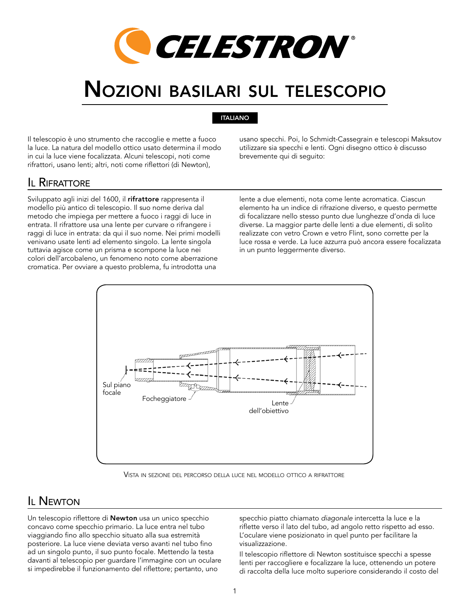

# Nozioni basilari sul telescopio

#### ITALIANO

Il telescopio è uno strumento che raccoglie e mette a fuoco la luce. La natura del modello ottico usato determina il modo in cui la luce viene focalizzata. Alcuni telescopi, noti come rifrattori, usano lenti; altri, noti come riflettori (di Newton),

usano specchi. Poi, lo Schmidt-Cassegrain e telescopi Maksutov utilizzare sia specchi e lenti. Ogni disegno ottico è discusso brevemente qui di seguito:

#### Il Rifrattore

Sviluppato agli inizi del 1600, il rifrattore rappresenta il modello più antico di telescopio. Il suo nome deriva dal metodo che impiega per mettere a fuoco i raggi di luce in entrata. Il rifrattore usa una lente per curvare o rifrangere i raggi di luce in entrata: da qui il suo nome. Nei primi modelli venivano usate lenti ad elemento singolo. La lente singola tuttavia agisce come un prisma e scompone la luce nei colori dell'arcobaleno, un fenomeno noto come aberrazione cromatica. Per ovviare a questo problema, fu introdotta una

lente a due elementi, nota come lente acromatica. Ciascun elemento ha un indice di rifrazione diverso, e questo permette di focalizzare nello stesso punto due lunghezze d'onda di luce diverse. La maggior parte delle lenti a due elementi, di solito realizzate con vetro Crown e vetro Flint, sono corrette per la luce rossa e verde. La luce azzurra può ancora essere focalizzata in un punto leggermente diverso.



Vista in sezione del percorso della luce nel modello ottico <sup>a</sup> rifrattore

#### **IL NEWTON**

Un telescopio riflettore di Newton usa un unico specchio concavo come specchio primario. La luce entra nel tubo viaggiando fino allo specchio situato alla sua estremità posteriore. La luce viene deviata verso avanti nel tubo fino ad un singolo punto, il suo punto focale. Mettendo la testa davanti al telescopio per guardare l'immagine con un oculare si impedirebbe il funzionamento del riflettore; pertanto, uno

specchio piatto chiamato *diagonale* intercetta la luce e la riflette verso il lato del tubo, ad angolo retto rispetto ad esso. L'oculare viene posizionato in quel punto per facilitare la visualizzazione.

Il telescopio riflettore di Newton sostituisce specchi a spesse lenti per raccogliere e focalizzare la luce, ottenendo un potere di raccolta della luce molto superiore considerando il costo del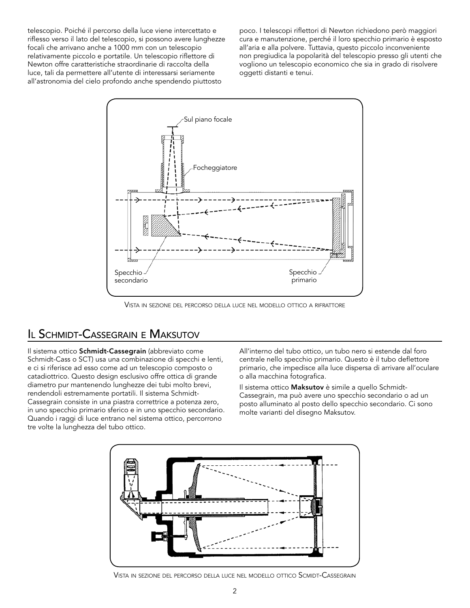telescopio. Poiché il percorso della luce viene intercettato e riflesso verso il lato del telescopio, si possono avere lunghezze focali che arrivano anche a 1000 mm con un telescopio relativamente piccolo e portatile. Un telescopio riflettore di Newton offre caratteristiche straordinarie di raccolta della luce, tali da permettere all'utente di interessarsi seriamente all'astronomia del cielo profondo anche spendendo piuttosto

poco. I telescopi riflettori di Newton richiedono però maggiori cura e manutenzione, perché il loro specchio primario è esposto all'aria e alla polvere. Tuttavia, questo piccolo inconveniente non pregiudica la popolarità del telescopio presso gli utenti che vogliono un telescopio economico che sia in grado di risolvere oggetti distanti e tenui.



Vista in sezione del percorso della luce nel modello ottico <sup>a</sup> rifrattore

#### Il Schmidt-Cassegrain <sup>e</sup> Maksutov

Il sistema ottico Schmidt-Cassegrain (abbreviato come Schmidt-Cass o SCT) usa una combinazione di specchi e lenti, e ci si riferisce ad esso come ad un telescopio composto o catadiottrico. Questo design esclusivo offre ottica di grande diametro pur mantenendo lunghezze dei tubi molto brevi, rendendoli estremamente portatili. Il sistema Schmidt-Cassegrain consiste in una piastra correttrice a potenza zero, in uno specchio primario sferico e in uno specchio secondario. Quando i raggi di luce entrano nel sistema ottico, percorrono tre volte la lunghezza del tubo ottico.

All'interno del tubo ottico, un tubo nero si estende dal foro centrale nello specchio primario. Questo è il tubo deflettore primario, che impedisce alla luce dispersa di arrivare all'oculare o alla macchina fotografica.

Il sistema ottico Maksutov è simile a quello Schmidt-Cassegrain, ma può avere uno specchio secondario o ad un posto alluminato al posto dello specchio secondario. Ci sono molte varianti del disegno Maksutov.

![](_page_17_Figure_8.jpeg)

Vista in sezione del percorso della luce nel modello ottico Scmidt-Cassegrain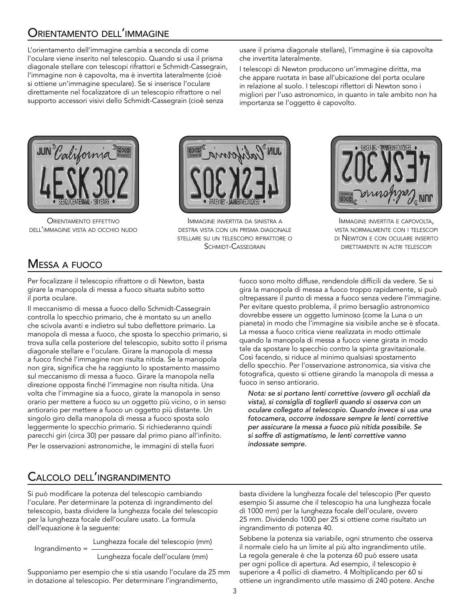# Orientamento dell'immagine

L'orientamento dell'immagine cambia a seconda di come l'oculare viene inserito nel telescopio. Quando si usa il prisma diagonale stellare con telescopi rifrattori e Schmidt-Cassegrain, l'immagine non è capovolta, ma è invertita lateralmente (cioè si ottiene un'immagine speculare). Se si inserisce l'oculare direttamente nel focalizzatore di un telescopio rifrattore o nel supporto accessori visivi dello Schmidt-Cassegrain (cioè senza

usare il prisma diagonale stellare), l'immagine è sia capovolta che invertita lateralmente.

I telescopi di Newton producono un'immagine diritta, ma che appare ruotata in base all'ubicazione del porta oculare in relazione al suolo. I telescopi riflettori di Newton sono i migliori per l'uso astronomico, in quanto in tale ambito non ha importanza se l'oggetto è capovolto.

![](_page_18_Picture_4.jpeg)

Orientamento effettivo dell'immagine vista ad occhio nudo

![](_page_18_Picture_6.jpeg)

Immagine invertita da sinistra <sup>a</sup> destra vista con un prisma diagonale stellare su un telescopio rifrattore o SCHMIDT-CASSEGRAIN

![](_page_18_Picture_8.jpeg)

Immagine invertita <sup>e</sup> capovolta, vista normalmente con i telescopi di Newton <sup>e</sup> con oculare inserito direttamente in altri telescopi

# Messa <sup>a</sup> fuoco

Per focalizzare il telescopio rifrattore o di Newton, basta girare la manopola di messa a fuoco situata subito sotto il porta oculare.

Il meccanismo di messa a fuoco dello Schmidt-Cassegrain controlla lo specchio primario, che è montato su un anello che scivola avanti e indietro sul tubo deflettore primario. La manopola di messa a fuoco, che sposta lo specchio primario, si trova sulla cella posteriore del telescopio, subito sotto il prisma diagonale stellare e l'oculare. Girare la manopola di messa a fuoco finché l'immagine non risulta nitida. Se la manopola non gira, significa che ha raggiunto lo spostamento massimo sul meccanismo di messa a fuoco. Girare la manopola nella direzione opposta finché l'immagine non risulta nitida. Una volta che l'immagine sia a fuoco, girate la manopola in senso orario per mettere a fuoco su un oggetto più vicino, o in senso antiorario per mettere a fuoco un oggetto più distante. Un singolo giro della manopola di messa a fuoco sposta solo leggermente lo specchio primario. Si richiederanno quindi parecchi giri (circa 30) per passare dal primo piano all'infinito. Per le osservazioni astronomiche, le immagini di stella fuori

fuoco sono molto diffuse, rendendole difficili da vedere. Se si gira la manopola di messa a fuoco troppo rapidamente, si può oltrepassare il punto di messa a fuoco senza vedere l'immagine. Per evitare questo problema, il primo bersaglio astronomico dovrebbe essere un oggetto luminoso (come la Luna o un pianeta) in modo che l'immagine sia visibile anche se è sfocata. La messa a fuoco critica viene realizzata in modo ottimale quando la manopola di messa a fuoco viene girata in modo tale da spostare lo specchio contro la spinta gravitazionale. Così facendo, si riduce al minimo qualsiasi spostamento dello specchio. Per l'osservazione astronomica, sia visiva che fotografica, questo si ottiene girando la manopola di messa a fuoco in senso antiorario.

*Nota: se si portano lenti correttive (ovvero gli occhiali da vista), si consiglia di toglierli quando si osserva con un oculare collegato al telescopio. Quando invece si usa una fotocamera, occorre indossare sempre le lenti correttive per assicurare la messa a fuoco più nitida possibile. Se si soffre di astigmatismo, le lenti correttive vanno indossate sempre.*

# Calcolo dell'ingrandimento

Si può modificare la potenza del telescopio cambiando l'oculare. Per determinare la potenza di ingrandimento del telescopio, basta dividere la lunghezza focale del telescopio per la lunghezza focale dell'oculare usato. La formula dell'equazione è la seguente:

Ingrandimento = Lunghezza focale del telescopio (mm)

Lunghezza focale dell'oculare (mm)

Supponiamo per esempio che si stia usando l'oculare da 25 mm in dotazione al telescopio. Per determinare l'ingrandimento,

basta dividere la lunghezza focale del telescopio (Per questo esempio Si assume che il telescopio ha una lunghezza focale di 1000 mm) per la lunghezza focale dell'oculare, ovvero 25 mm. Dividendo 1000 per 25 si ottiene come risultato un ingrandimento di potenza 40.

Sebbene la potenza sia variabile, ogni strumento che osserva il normale cielo ha un limite al più alto ingrandimento utile. La regola generale è che la potenza 60 può essere usata per ogni pollice di apertura. Ad esempio, il telescopio è superiore a 4 pollici di diametro. 4 Moltiplicando per 60 si ottiene un ingrandimento utile massimo di 240 potere. Anche